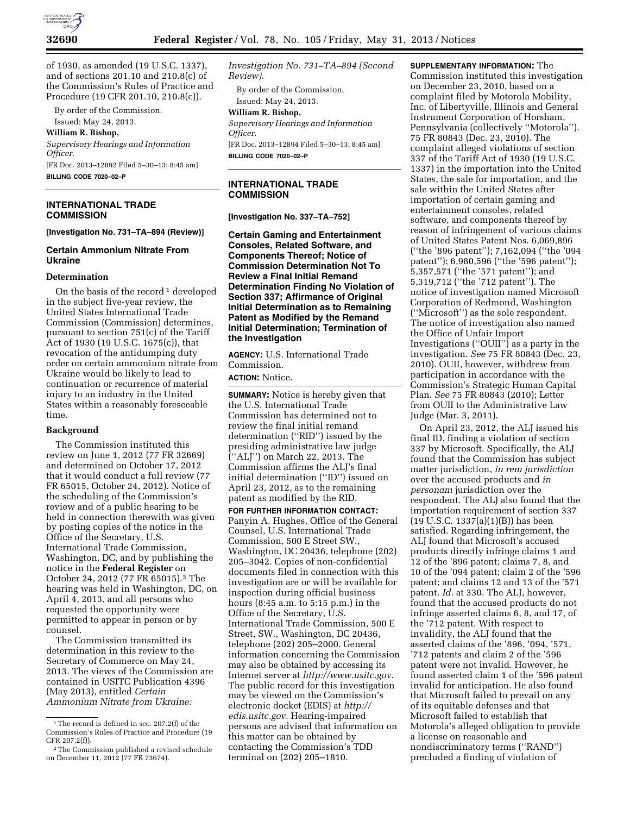

of 1930, as amended (19 U.S.C. 1337), and of sections 201.10 and 210.8(c) of the Commission's Rules of Practice and Procedure (19 CFR 201.10, 210.8(c)).

By order of the Commission. Issued: May 24, 2013.

**William R. Bishop,** 

*Supervisory Hearings and Information Officer.*  [FR Doc. 2013–12892 Filed 5–30–13; 8:45 am]

**BILLING CODE 7020–02–P** 

# **INTERNATIONAL TRADE COMMISSION**

#### **[Investigation No. 731–TA–894 (Review)]**

## **Certain Ammonium Nitrate From Ukraine**

# **Determination**

On the basis of the record  $1$  developed in the subject five-year review, the United States International Trade Commission (Commission) determines, pursuant to section 751(c) of the Tariff Act of 1930 (19 U.S.C. 1675(c)), that revocation of the antidumping duty order on certain ammonium nitrate from Ukraine would be likely to lead to continuation or recurrence of material injury to an industry in the United States within a reasonably foreseeable time.

#### **Background**

The Commission instituted this review on June 1, 2012 (77 FR 32669) and determined on October 17, 2012 that it would conduct a full review (77 FR 65015, October 24, 2012). Notice of the scheduling of the Commission's review and of a public hearing to be held in connection therewith was given by posting copies of the notice in the Office of the Secretary, U.S. International Trade Commission, Washington, DC, and by publishing the notice in the **Federal Register** on October 24, 2012 (77 FR 65015).2 The hearing was held in Washington, DC, on April 4, 2013, and all persons who requested the opportunity were permitted to appear in person or by counsel.

The Commission transmitted its determination in this review to the Secretary of Commerce on May 24, 2013. The views of the Commission are contained in USITC Publication 4396 (May 2013), entitled *Certain Ammonium Nitrate from Ukraine:* 

*Investigation No. 731–TA–894 (Second Review).* 

By order of the Commission. Issued: May 24, 2013.

**William R. Bishop,** 

*Supervisory Hearings and Information Officer.* 

[FR Doc. 2013–12894 Filed 5–30–13; 8:45 am] **BILLING CODE 7020–02–P** 

## **INTERNATIONAL TRADE COMMISSION**

### **[Investigation No. 337–TA–752]**

**Certain Gaming and Entertainment Consoles, Related Software, and Components Thereof; Notice of Commission Determination Not To Review a Final Initial Remand Determination Finding No Violation of Section 337; Affirmance of Original Initial Determination as to Remaining Patent as Modified by the Remand Initial Determination; Termination of the Investigation** 

**AGENCY:** U.S. International Trade Commission.

**ACTION:** Notice.

**SUMMARY:** Notice is hereby given that the U.S. International Trade Commission has determined not to review the final initial remand determination (''RID'') issued by the presiding administrative law judge (''ALJ'') on March 22, 2013. The Commission affirms the ALJ's final initial determination (''ID'') issued on April 23, 2012, as to the remaining patent as modified by the RID.

**FOR FURTHER INFORMATION CONTACT:**  Panyin A. Hughes, Office of the General Counsel, U.S. International Trade Commission, 500 E Street SW., Washington, DC 20436, telephone (202) 205–3042. Copies of non-confidential documents filed in connection with this investigation are or will be available for inspection during official business hours (8:45 a.m. to 5:15 p.m.) in the Office of the Secretary, U.S. International Trade Commission, 500 E Street, SW., Washington, DC 20436, telephone (202) 205–2000. General information concerning the Commission may also be obtained by accessing its Internet server at *http://www.usitc.gov*. The public record for this investigation may be viewed on the Commission's electronic docket (EDIS) at *http:// edis.usitc.gov*. Hearing-impaired persons are advised that information on this matter can be obtained by contacting the Commission's TDD terminal on (202) 205–1810.

**SUPPLEMENTARY INFORMATION:** The Commission instituted this investigation on December 23, 2010, based on a complaint filed by Motorola Mobility, Inc. of Libertyville, Illinois and General Instrument Corporation of Horsham, Pennsylvania (collectively ''Motorola''). 75 FR 80843 (Dec. 23, 2010). The complaint alleged violations of section 337 of the Tariff Act of 1930 (19 U.S.C. 1337) in the importation into the United States, the sale for importation, and the sale within the United States after importation of certain gaming and entertainment consoles, related software, and components thereof by reason of infringement of various claims of United States Patent Nos. 6,069,896 (''the '896 patent''); 7,162,094 (''the '094 patent''); 6,980,596 (''the '596 patent''); 5,357,571 (''the '571 patent''); and 5,319,712 (''the '712 patent''). The notice of investigation named Microsoft Corporation of Redmond, Washington (''Microsoft'') as the sole respondent. The notice of investigation also named the Office of Unfair Import Investigations (''OUII'') as a party in the investigation. *See* 75 FR 80843 (Dec. 23, 2010). OUII, however, withdrew from participation in accordance with the Commission's Strategic Human Capital Plan. *See* 75 FR 80843 (2010); Letter from OUII to the Administrative Law Judge (Mar. 3, 2011).

On April 23, 2012, the ALJ issued his final ID, finding a violation of section 337 by Microsoft. Specifically, the ALJ found that the Commission has subject matter jurisdiction, *in rem jurisdiction*  over the accused products and *in personam* jurisdiction over the respondent. The ALJ also found that the importation requirement of section 337 (19 U.S.C. 1337(a)(1)(B)) has been satisfied. Regarding infringement, the ALJ found that Microsoft's accused products directly infringe claims 1 and 12 of the '896 patent; claims 7, 8, and 10 of the '094 patent; claim 2 of the '596 patent; and claims 12 and 13 of the '571 patent. *Id.* at 330. The ALJ, however, found that the accused products do not infringe asserted claims 6, 8, and 17, of the '712 patent. With respect to invalidity, the ALJ found that the asserted claims of the '896, '094, '571, '712 patents and claim 2 of the '596 patent were not invalid. However, he found asserted claim 1 of the '596 patent invalid for anticipation. He also found that Microsoft failed to prevail on any of its equitable defenses and that Microsoft failed to establish that Motorola's alleged obligation to provide a license on reasonable and nondiscriminatory terms (''RAND'') precluded a finding of violation of

<sup>1</sup>The record is defined in sec. 207.2(f) of the Commission's Rules of Practice and Procedure (19 CFR 207.2(f)).

<sup>2</sup>The Commission published a revised schedule on December 11, 2012 (77 FR 73674).